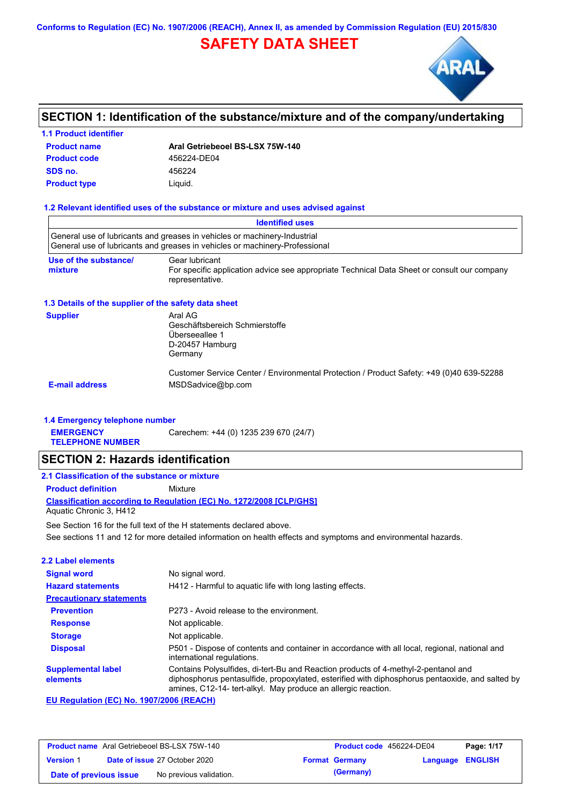**Conforms to Regulation (EC) No. 1907/2006 (REACH), Annex II, as amended by Commission Regulation (EU) 2015/830**

# **SAFETY DATA SHEET**



# **SECTION 1: Identification of the substance/mixture and of the company/undertaking**

# **Product name 1.1 Product identifier SDS no.** 456224

**Aral Getriebeoel BS-LSX 75W-140 Product type Liquid. Product code 456224-DE04** 

### **1.2 Relevant identified uses of the substance or mixture and uses advised against**

|                                                      | <b>Identified uses</b>                                                                                                                                   |
|------------------------------------------------------|----------------------------------------------------------------------------------------------------------------------------------------------------------|
|                                                      | General use of lubricants and greases in vehicles or machinery-Industrial<br>General use of lubricants and greases in vehicles or machinery-Professional |
| Use of the substance/<br>mixture                     | Gear lubricant<br>For specific application advice see appropriate Technical Data Sheet or consult our company<br>representative.                         |
| 1.3 Details of the supplier of the safety data sheet |                                                                                                                                                          |
| <b>Supplier</b>                                      | Aral AG<br>Geschäftsbereich Schmierstoffe<br>Überseeallee 1<br>D-20457 Hamburg<br>Germany                                                                |
| <b>E-mail address</b>                                | Customer Service Center / Environmental Protection / Product Safety: +49 (0)40 639-52288<br>MSDSadvice@bp.com                                            |

### **1.4 Emergency telephone number**

**EMERGENCY**  Carechem: +44 (0) 1235 239 670 (24/7)

**TELEPHONE NUMBER**

## **SECTION 2: Hazards identification**

## **2.1 Classification of the substance or mixture**

**Product definition** Mixture

**Classification according to Regulation (EC) No. 1272/2008 [CLP/GHS]** Aquatic Chronic 3, H412

See sections 11 and 12 for more detailed information on health effects and symptoms and environmental hazards. See Section 16 for the full text of the H statements declared above.

| 2.2 Label elements                            |                                                                                                                                                                                                                                                        |
|-----------------------------------------------|--------------------------------------------------------------------------------------------------------------------------------------------------------------------------------------------------------------------------------------------------------|
| <b>Signal word</b>                            | No signal word.                                                                                                                                                                                                                                        |
| <b>Hazard statements</b>                      | H412 - Harmful to aguatic life with long lasting effects.                                                                                                                                                                                              |
| <b>Precautionary statements</b>               |                                                                                                                                                                                                                                                        |
| <b>Prevention</b>                             | P273 - Avoid release to the environment.                                                                                                                                                                                                               |
| <b>Response</b>                               | Not applicable.                                                                                                                                                                                                                                        |
| <b>Storage</b>                                | Not applicable.                                                                                                                                                                                                                                        |
| <b>Disposal</b>                               | P501 - Dispose of contents and container in accordance with all local, regional, national and<br>international regulations.                                                                                                                            |
| <b>Supplemental label</b><br>elements         | Contains Polysulfides, di-tert-Bu and Reaction products of 4-methyl-2-pentanol and<br>diphosphorus pentasulfide, propoxylated, esterified with diphosphorus pentaoxide, and salted by<br>amines, C12-14- tert-alkyl. May produce an allergic reaction. |
| <b>EU Demision (EO) Ne. 4007/0000 (DEAOU)</b> |                                                                                                                                                                                                                                                        |

### **EU Regulation (EC) No. 1907/2006 (REACH)**

| <b>Product name</b> Aral Getriebeoel BS-LSX 75W-140 |  | <b>Product code</b> 456224-DE04      |  | Page: 1/17            |                  |  |
|-----------------------------------------------------|--|--------------------------------------|--|-----------------------|------------------|--|
| <b>Version 1</b>                                    |  | <b>Date of issue 27 October 2020</b> |  | <b>Format Germany</b> | Language ENGLISH |  |
| Date of previous issue                              |  | No previous validation.              |  | (Germany)             |                  |  |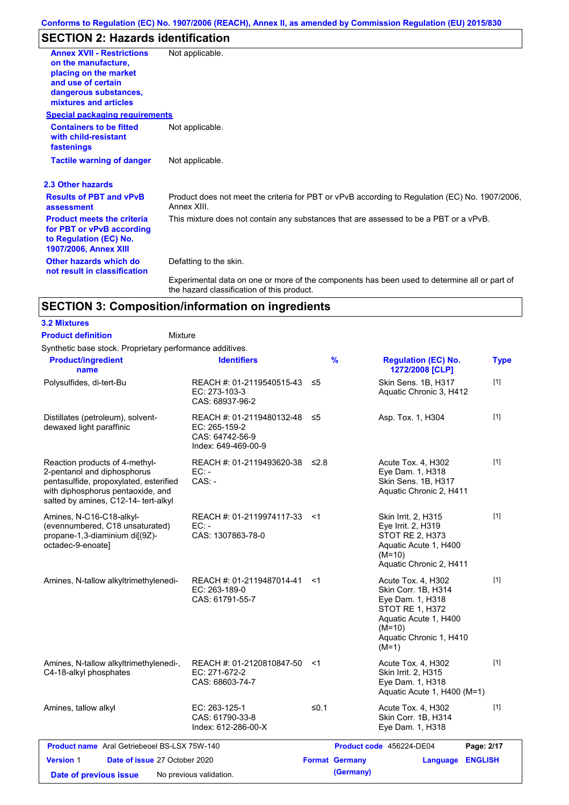# **SECTION 2: Hazards identification**

| <b>Annex XVII - Restrictions</b>                                                                                  | Not applicable.                                                                                                                            |
|-------------------------------------------------------------------------------------------------------------------|--------------------------------------------------------------------------------------------------------------------------------------------|
| on the manufacture.                                                                                               |                                                                                                                                            |
| placing on the market                                                                                             |                                                                                                                                            |
| and use of certain<br>dangerous substances,                                                                       |                                                                                                                                            |
| mixtures and articles                                                                                             |                                                                                                                                            |
| <b>Special packaging requirements</b>                                                                             |                                                                                                                                            |
| <b>Containers to be fitted</b><br>with child-resistant<br>fastenings                                              | Not applicable.                                                                                                                            |
| <b>Tactile warning of danger</b>                                                                                  | Not applicable.                                                                                                                            |
| 2.3 Other hazards                                                                                                 |                                                                                                                                            |
| <b>Results of PBT and vPvB</b><br>assessment                                                                      | Product does not meet the criteria for PBT or vPvB according to Regulation (EC) No. 1907/2006,<br>Annex XIII.                              |
| <b>Product meets the criteria</b><br>for PBT or vPvB according<br>to Regulation (EC) No.<br>1907/2006, Annex XIII | This mixture does not contain any substances that are assessed to be a PBT or a vPvB.                                                      |
| Other hazards which do<br>not result in classification                                                            | Defatting to the skin.                                                                                                                     |
|                                                                                                                   | Experimental data on one or more of the components has been used to determine all or part of<br>the hazard classification of this product. |

# **SECTION 3: Composition/information on ingredients**

### **3.2 Mixtures**

Mixture **Product definition**

Synthetic base stock. Proprietary performance additives.

| <b>Product/ingredient</b><br>name                                                                                                                                                    | <b>Identifiers</b>                                                                      |        | %                     | <b>Regulation (EC) No.</b><br>1272/2008 [CLP]                                                                                                                      | <b>Type</b>    |  |
|--------------------------------------------------------------------------------------------------------------------------------------------------------------------------------------|-----------------------------------------------------------------------------------------|--------|-----------------------|--------------------------------------------------------------------------------------------------------------------------------------------------------------------|----------------|--|
| Polysulfides, di-tert-Bu                                                                                                                                                             | REACH #: 01-2119540515-43 ≤5<br>EC: 273-103-3<br>CAS: 68937-96-2                        |        |                       | Skin Sens. 1B, H317<br>Aquatic Chronic 3, H412                                                                                                                     | $[1]$          |  |
| Distillates (petroleum), solvent-<br>dewaxed light paraffinic                                                                                                                        | REACH #: 01-2119480132-48 ≤5<br>EC: 265-159-2<br>CAS: 64742-56-9<br>Index: 649-469-00-9 |        |                       | Asp. Tox. 1, H304                                                                                                                                                  | $[1]$          |  |
| Reaction products of 4-methyl-<br>2-pentanol and diphosphorus<br>pentasulfide, propoxylated, esterified<br>with diphosphorus pentaoxide, and<br>salted by amines, C12-14- tert-alkyl | REACH #: 01-2119493620-38<br>$EC: -$<br>$CAS: -$                                        | ≤2.8   |                       | Acute Tox. 4, H302<br>Eye Dam. 1, H318<br>Skin Sens. 1B, H317<br>Aquatic Chronic 2, H411                                                                           | $[1]$          |  |
| Amines, N-C16-C18-alkyl-<br>(evennumbered, C18 unsaturated)<br>propane-1,3-diaminium di[(9Z)-<br>octadec-9-enoate]                                                                   | REACH #: 01-2119974117-33 <1<br>$EC: -$<br>CAS: 1307863-78-0                            |        |                       | Skin Irrit. 2, H315<br>Eye Irrit. 2, H319<br>STOT RE 2, H373<br>Aquatic Acute 1, H400<br>$(M=10)$<br>Aquatic Chronic 2, H411                                       | $[1]$          |  |
| Amines, N-tallow alkyltrimethylenedi-                                                                                                                                                | REACH #: 01-2119487014-41<br>EC: 263-189-0<br>CAS: 61791-55-7                           | <1     |                       | Acute Tox. 4, H302<br>Skin Corr. 1B, H314<br>Eye Dam. 1, H318<br><b>STOT RE 1, H372</b><br>Aquatic Acute 1, H400<br>$(M=10)$<br>Aquatic Chronic 1, H410<br>$(M=1)$ | $[1]$          |  |
| Amines, N-tallow alkyltrimethylenedi-,<br>C4-18-alkyl phosphates                                                                                                                     | REACH #: 01-2120810847-50<br>EC: 271-672-2<br>CAS: 68603-74-7                           | ≺1     |                       | Acute Tox. 4, H302<br>Skin Irrit. 2, H315<br>Eye Dam. 1, H318<br>Aquatic Acute 1, H400 (M=1)                                                                       | $[1]$          |  |
| Amines, tallow alkyl                                                                                                                                                                 | EC: 263-125-1<br>CAS: 61790-33-8<br>Index: 612-286-00-X                                 | $≤0.1$ |                       | Acute Tox. 4, H302<br>Skin Corr. 1B, H314<br>Eye Dam. 1, H318                                                                                                      | $[1]$          |  |
| <b>Product name</b> Aral Getriebeoel BS-LSX 75W-140                                                                                                                                  |                                                                                         |        |                       | Product code 456224-DE04                                                                                                                                           | Page: 2/17     |  |
| <b>Version 1</b><br>Date of issue 27 October 2020                                                                                                                                    |                                                                                         |        | <b>Format Germany</b> | Language                                                                                                                                                           | <b>ENGLISH</b> |  |
| Date of previous issue                                                                                                                                                               | No previous validation.                                                                 |        | (Germany)             |                                                                                                                                                                    |                |  |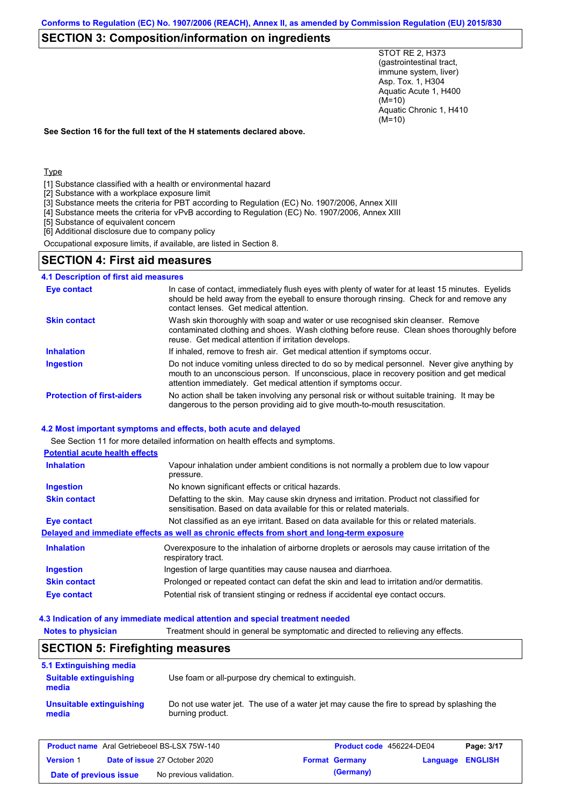# **SECTION 3: Composition/information on ingredients**

STOT RE 2, H373 (gastrointestinal tract, immune system, liver) Asp. Tox. 1, H304 Aquatic Acute 1, H400 (M=10) Aquatic Chronic 1, H410 (M=10)

**See Section 16 for the full text of the H statements declared above.**

Type

- [1] Substance classified with a health or environmental hazard
- [2] Substance with a workplace exposure limit
- [3] Substance meets the criteria for PBT according to Regulation (EC) No. 1907/2006, Annex XIII
- [4] Substance meets the criteria for vPvB according to Regulation (EC) No. 1907/2006, Annex XIII
- [5] Substance of equivalent concern
- [6] Additional disclosure due to company policy

Occupational exposure limits, if available, are listed in Section 8.

## **SECTION 4: First aid measures**

**4.1 Description of first aid measures**

| <b>Eye contact</b>                | In case of contact, immediately flush eyes with plenty of water for at least 15 minutes. Eyelids<br>should be held away from the eyeball to ensure thorough rinsing. Check for and remove any<br>contact lenses. Get medical attention.                       |
|-----------------------------------|---------------------------------------------------------------------------------------------------------------------------------------------------------------------------------------------------------------------------------------------------------------|
| <b>Skin contact</b>               | Wash skin thoroughly with soap and water or use recognised skin cleanser. Remove<br>contaminated clothing and shoes. Wash clothing before reuse. Clean shoes thoroughly before<br>reuse. Get medical attention if irritation develops.                        |
| <b>Inhalation</b>                 | If inhaled, remove to fresh air. Get medical attention if symptoms occur.                                                                                                                                                                                     |
| <b>Ingestion</b>                  | Do not induce vomiting unless directed to do so by medical personnel. Never give anything by<br>mouth to an unconscious person. If unconscious, place in recovery position and get medical<br>attention immediately. Get medical attention if symptoms occur. |
| <b>Protection of first-aiders</b> | No action shall be taken involving any personal risk or without suitable training. It may be<br>dangerous to the person providing aid to give mouth-to-mouth resuscitation.                                                                                   |

#### **4.2 Most important symptoms and effects, both acute and delayed**

See Section 11 for more detailed information on health effects and symptoms.

| <b>Potential acute health effects</b> |                                                                                                                                                                   |
|---------------------------------------|-------------------------------------------------------------------------------------------------------------------------------------------------------------------|
| <b>Inhalation</b>                     | Vapour inhalation under ambient conditions is not normally a problem due to low vapour<br>pressure.                                                               |
| <b>Ingestion</b>                      | No known significant effects or critical hazards.                                                                                                                 |
| <b>Skin contact</b>                   | Defatting to the skin. May cause skin dryness and irritation. Product not classified for<br>sensitisation. Based on data available for this or related materials. |
| Eye contact                           | Not classified as an eye irritant. Based on data available for this or related materials.                                                                         |
|                                       | Delayed and immediate effects as well as chronic effects from short and long-term exposure                                                                        |
| <b>Inhalation</b>                     | Overexposure to the inhalation of airborne droplets or aerosols may cause irritation of the<br>respiratory tract.                                                 |
| <b>Ingestion</b>                      | Ingestion of large quantities may cause nausea and diarrhoea.                                                                                                     |
| <b>Skin contact</b>                   | Prolonged or repeated contact can defat the skin and lead to irritation and/or dermatitis.                                                                        |
| Eye contact                           | Potential risk of transient stinging or redness if accidental eye contact occurs.                                                                                 |

#### **4.3 Indication of any immediate medical attention and special treatment needed**

| <b>Notes to physician</b>                           | Treatment should in general be symptomatic and directed to relieving any effects. |                                                                                            |                            |  |
|-----------------------------------------------------|-----------------------------------------------------------------------------------|--------------------------------------------------------------------------------------------|----------------------------|--|
| <b>SECTION 5: Firefighting measures</b>             |                                                                                   |                                                                                            |                            |  |
| 5.1 Extinguishing media                             |                                                                                   |                                                                                            |                            |  |
| <b>Suitable extinguishing</b><br>media              | Use foam or all-purpose dry chemical to extinguish.                               |                                                                                            |                            |  |
| Unsuitable extinguishing<br>media                   | burning product.                                                                  | Do not use water jet. The use of a water jet may cause the fire to spread by splashing the |                            |  |
| <b>Product name</b> Aral Getriebeoel BS-LSX 75W-140 |                                                                                   | Product code 456224-DE04                                                                   | Page: 3/17                 |  |
| <b>Version 1</b>                                    | Date of issue 27 October 2020                                                     | <b>Format Germany</b>                                                                      | <b>ENGLISH</b><br>Language |  |
| Date of previous issue                              | No previous validation.                                                           | (Germany)                                                                                  |                            |  |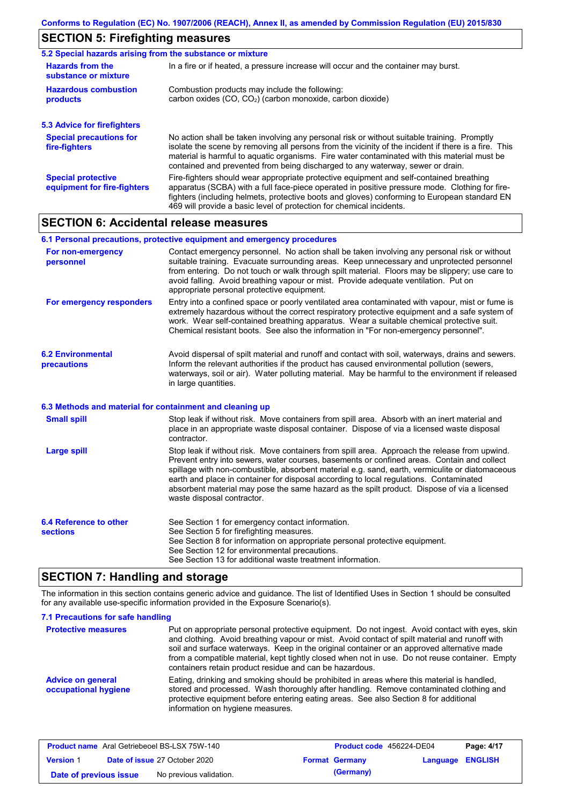# **SECTION 5: Firefighting measures**

| 5.2 Special hazards arising from the substance or mixture |                                                                                                                                                                                                                                                                                                                                                                                       |  |  |  |  |
|-----------------------------------------------------------|---------------------------------------------------------------------------------------------------------------------------------------------------------------------------------------------------------------------------------------------------------------------------------------------------------------------------------------------------------------------------------------|--|--|--|--|
| <b>Hazards from the</b><br>substance or mixture           | In a fire or if heated, a pressure increase will occur and the container may burst.                                                                                                                                                                                                                                                                                                   |  |  |  |  |
| <b>Hazardous combustion</b><br>products                   | Combustion products may include the following:<br>carbon oxides (CO, CO <sub>2</sub> ) (carbon monoxide, carbon dioxide)                                                                                                                                                                                                                                                              |  |  |  |  |
| <b>5.3 Advice for firefighters</b>                        |                                                                                                                                                                                                                                                                                                                                                                                       |  |  |  |  |
| <b>Special precautions for</b><br>fire-fighters           | No action shall be taken involving any personal risk or without suitable training. Promptly<br>isolate the scene by removing all persons from the vicinity of the incident if there is a fire. This<br>material is harmful to aguatic organisms. Fire water contaminated with this material must be<br>contained and prevented from being discharged to any waterway, sewer or drain. |  |  |  |  |
| <b>Special protective</b><br>equipment for fire-fighters  | Fire-fighters should wear appropriate protective equipment and self-contained breathing<br>apparatus (SCBA) with a full face-piece operated in positive pressure mode. Clothing for fire-<br>fighters (including helmets, protective boots and gloves) conforming to European standard EN<br>469 will provide a basic level of protection for chemical incidents.                     |  |  |  |  |

## **SECTION 6: Accidental release measures**

#### **6.2 Environmental precautions** Avoid dispersal of spilt material and runoff and contact with soil, waterways, drains and sewers. Inform the relevant authorities if the product has caused environmental pollution (sewers, waterways, soil or air). Water polluting material. May be harmful to the environment if released in large quantities. **6.1 Personal precautions, protective equipment and emergency procedures For non-emergency personnel For emergency responders** Contact emergency personnel. No action shall be taken involving any personal risk or without suitable training. Evacuate surrounding areas. Keep unnecessary and unprotected personnel from entering. Do not touch or walk through spilt material. Floors may be slippery; use care to avoid falling. Avoid breathing vapour or mist. Provide adequate ventilation. Put on appropriate personal protective equipment. Entry into a confined space or poorly ventilated area contaminated with vapour, mist or fume is extremely hazardous without the correct respiratory protective equipment and a safe system of work. Wear self-contained breathing apparatus. Wear a suitable chemical protective suit. Chemical resistant boots. See also the information in "For non-emergency personnel".

#### **6.3 Methods and material for containment and cleaning up**

| <b>Small spill</b>                        | Stop leak if without risk. Move containers from spill area. Absorb with an inert material and<br>place in an appropriate waste disposal container. Dispose of via a licensed waste disposal<br>contractor.                                                                                                                                                                                                                                                                                                            |
|-------------------------------------------|-----------------------------------------------------------------------------------------------------------------------------------------------------------------------------------------------------------------------------------------------------------------------------------------------------------------------------------------------------------------------------------------------------------------------------------------------------------------------------------------------------------------------|
| Large spill                               | Stop leak if without risk. Move containers from spill area. Approach the release from upwind.<br>Prevent entry into sewers, water courses, basements or confined areas. Contain and collect<br>spillage with non-combustible, absorbent material e.g. sand, earth, vermiculite or diatomaceous<br>earth and place in container for disposal according to local regulations. Contaminated<br>absorbent material may pose the same hazard as the spilt product. Dispose of via a licensed<br>waste disposal contractor. |
| 6.4 Reference to other<br><b>sections</b> | See Section 1 for emergency contact information.<br>See Section 5 for firefighting measures.<br>See Section 8 for information on appropriate personal protective equipment.<br>See Section 12 for environmental precautions.                                                                                                                                                                                                                                                                                          |

## **SECTION 7: Handling and storage**

The information in this section contains generic advice and guidance. The list of Identified Uses in Section 1 should be consulted for any available use-specific information provided in the Exposure Scenario(s).

See Section 13 for additional waste treatment information.

| 7.1 Precautions for safe handling<br><b>Protective measures</b> | Put on appropriate personal protective equipment. Do not ingest. Avoid contact with eyes, skin<br>and clothing. Avoid breathing vapour or mist. Avoid contact of spilt material and runoff with<br>soil and surface waterways. Keep in the original container or an approved alternative made<br>from a compatible material, kept tightly closed when not in use. Do not reuse container. Empty<br>containers retain product residue and can be hazardous. |
|-----------------------------------------------------------------|------------------------------------------------------------------------------------------------------------------------------------------------------------------------------------------------------------------------------------------------------------------------------------------------------------------------------------------------------------------------------------------------------------------------------------------------------------|
| <b>Advice on general</b><br>occupational hygiene                | Eating, drinking and smoking should be prohibited in areas where this material is handled.<br>stored and processed. Wash thoroughly after handling. Remove contaminated clothing and<br>protective equipment before entering eating areas. See also Section 8 for additional<br>information on hygiene measures.                                                                                                                                           |

| <b>Product name</b> Aral Getriebeoel BS-LSX 75W-140 |  | Product code 456224-DE04             |  | Page: 4/17            |                         |  |
|-----------------------------------------------------|--|--------------------------------------|--|-----------------------|-------------------------|--|
| <b>Version 1</b>                                    |  | <b>Date of issue 27 October 2020</b> |  | <b>Format Germany</b> | <b>Language ENGLISH</b> |  |
| Date of previous issue                              |  | No previous validation.              |  | (Germany)             |                         |  |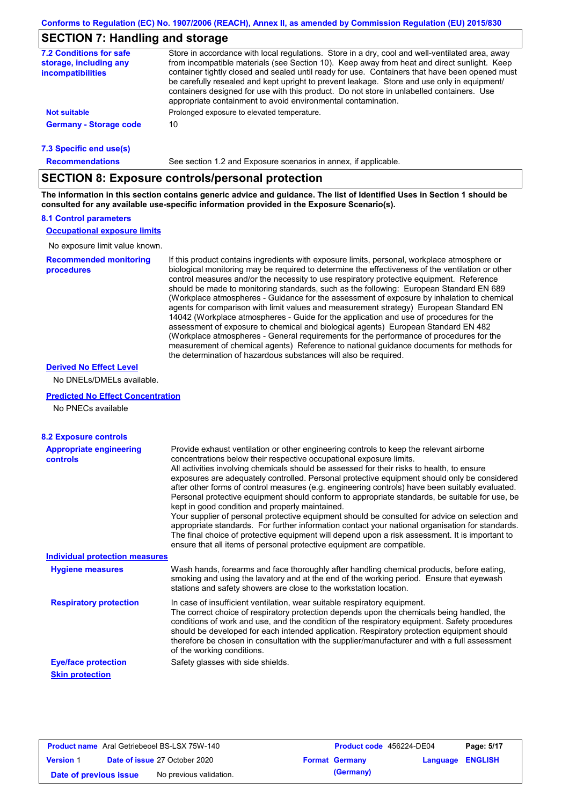## **SECTION 7: Handling and storage**

| <b>7.2 Conditions for safe</b><br>storage, including any<br><b>incompatibilities</b> | Store in accordance with local regulations. Store in a dry, cool and well-ventilated area, away<br>from incompatible materials (see Section 10). Keep away from heat and direct sunlight. Keep<br>container tightly closed and sealed until ready for use. Containers that have been opened must<br>be carefully resealed and kept upright to prevent leakage. Store and use only in equipment/ |
|--------------------------------------------------------------------------------------|-------------------------------------------------------------------------------------------------------------------------------------------------------------------------------------------------------------------------------------------------------------------------------------------------------------------------------------------------------------------------------------------------|
|                                                                                      | containers designed for use with this product. Do not store in unlabelled containers. Use<br>appropriate containment to avoid environmental contamination.                                                                                                                                                                                                                                      |
| Not suitable                                                                         | Prolonged exposure to elevated temperature.                                                                                                                                                                                                                                                                                                                                                     |
| <b>Germany - Storage code</b>                                                        | 10                                                                                                                                                                                                                                                                                                                                                                                              |
|                                                                                      |                                                                                                                                                                                                                                                                                                                                                                                                 |

#### **7.3 Specific end use(s)**

**Recommendations**

See section 1.2 and Exposure scenarios in annex, if applicable.

## **SECTION 8: Exposure controls/personal protection**

**The information in this section contains generic advice and guidance. The list of Identified Uses in Section 1 should be consulted for any available use-specific information provided in the Exposure Scenario(s).**

### **8.1 Control parameters**

**Occupational exposure limits**

No exposure limit value known.

**Recommended monitoring procedures** If this product contains ingredients with exposure limits, personal, workplace atmosphere or biological monitoring may be required to determine the effectiveness of the ventilation or other control measures and/or the necessity to use respiratory protective equipment. Reference should be made to monitoring standards, such as the following: European Standard EN 689 (Workplace atmospheres - Guidance for the assessment of exposure by inhalation to chemical agents for comparison with limit values and measurement strategy) European Standard EN 14042 (Workplace atmospheres - Guide for the application and use of procedures for the assessment of exposure to chemical and biological agents) European Standard EN 482 (Workplace atmospheres - General requirements for the performance of procedures for the measurement of chemical agents) Reference to national guidance documents for methods for the determination of hazardous substances will also be required.

### **Derived No Effect Level**

No DNELs/DMELs available.

### **Predicted No Effect Concentration**

No PNECs available

| <b>8.2 Exposure controls</b>                      |                                                                                                                                                                                                                                                                                                                                                                                                                                                                                                                                                                                                                                                                                                                                                                                                                                                                                                                                                                                                         |
|---------------------------------------------------|---------------------------------------------------------------------------------------------------------------------------------------------------------------------------------------------------------------------------------------------------------------------------------------------------------------------------------------------------------------------------------------------------------------------------------------------------------------------------------------------------------------------------------------------------------------------------------------------------------------------------------------------------------------------------------------------------------------------------------------------------------------------------------------------------------------------------------------------------------------------------------------------------------------------------------------------------------------------------------------------------------|
| <b>Appropriate engineering</b><br><b>controls</b> | Provide exhaust ventilation or other engineering controls to keep the relevant airborne<br>concentrations below their respective occupational exposure limits.<br>All activities involving chemicals should be assessed for their risks to health, to ensure<br>exposures are adequately controlled. Personal protective equipment should only be considered<br>after other forms of control measures (e.g. engineering controls) have been suitably evaluated.<br>Personal protective equipment should conform to appropriate standards, be suitable for use, be<br>kept in good condition and properly maintained.<br>Your supplier of personal protective equipment should be consulted for advice on selection and<br>appropriate standards. For further information contact your national organisation for standards.<br>The final choice of protective equipment will depend upon a risk assessment. It is important to<br>ensure that all items of personal protective equipment are compatible. |
| <b>Individual protection measures</b>             |                                                                                                                                                                                                                                                                                                                                                                                                                                                                                                                                                                                                                                                                                                                                                                                                                                                                                                                                                                                                         |
| <b>Hygiene measures</b>                           | Wash hands, forearms and face thoroughly after handling chemical products, before eating,<br>smoking and using the lavatory and at the end of the working period. Ensure that eyewash<br>stations and safety showers are close to the workstation location.                                                                                                                                                                                                                                                                                                                                                                                                                                                                                                                                                                                                                                                                                                                                             |
| <b>Respiratory protection</b>                     | In case of insufficient ventilation, wear suitable respiratory equipment.<br>The correct choice of respiratory protection depends upon the chemicals being handled, the<br>conditions of work and use, and the condition of the respiratory equipment. Safety procedures<br>should be developed for each intended application. Respiratory protection equipment should<br>therefore be chosen in consultation with the supplier/manufacturer and with a full assessment<br>of the working conditions.                                                                                                                                                                                                                                                                                                                                                                                                                                                                                                   |
| <b>Eye/face protection</b>                        | Safety glasses with side shields.                                                                                                                                                                                                                                                                                                                                                                                                                                                                                                                                                                                                                                                                                                                                                                                                                                                                                                                                                                       |
| <b>Skin protection</b>                            |                                                                                                                                                                                                                                                                                                                                                                                                                                                                                                                                                                                                                                                                                                                                                                                                                                                                                                                                                                                                         |

|                        | <b>Product name</b> Aral Getriebeoel BS-LSX 75W-140 | <b>Product code</b> 456224-DE04 |                         | Page: 5/17 |
|------------------------|-----------------------------------------------------|---------------------------------|-------------------------|------------|
| <b>Version 1</b>       | <b>Date of issue 27 October 2020</b>                | <b>Format Germany</b>           | <b>Language ENGLISH</b> |            |
| Date of previous issue | No previous validation.                             | (Germany)                       |                         |            |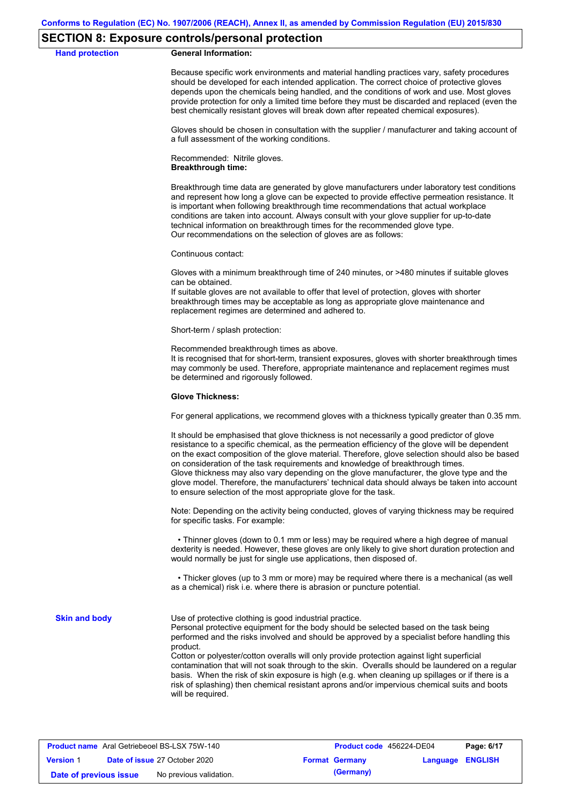## **SECTION 8: Exposure controls/personal protection**

#### **Hand protection General Information:**

Because specific work environments and material handling practices vary, safety procedures should be developed for each intended application. The correct choice of protective gloves depends upon the chemicals being handled, and the conditions of work and use. Most gloves provide protection for only a limited time before they must be discarded and replaced (even the best chemically resistant gloves will break down after repeated chemical exposures).

Gloves should be chosen in consultation with the supplier / manufacturer and taking account of a full assessment of the working conditions.

Recommended: Nitrile gloves. **Breakthrough time:**

Breakthrough time data are generated by glove manufacturers under laboratory test conditions and represent how long a glove can be expected to provide effective permeation resistance. It is important when following breakthrough time recommendations that actual workplace conditions are taken into account. Always consult with your glove supplier for up-to-date technical information on breakthrough times for the recommended glove type. Our recommendations on the selection of gloves are as follows:

Continuous contact:

Gloves with a minimum breakthrough time of 240 minutes, or >480 minutes if suitable gloves can be obtained.

If suitable gloves are not available to offer that level of protection, gloves with shorter breakthrough times may be acceptable as long as appropriate glove maintenance and replacement regimes are determined and adhered to.

Short-term / splash protection:

Recommended breakthrough times as above.

It is recognised that for short-term, transient exposures, gloves with shorter breakthrough times may commonly be used. Therefore, appropriate maintenance and replacement regimes must be determined and rigorously followed.

#### **Glove Thickness:**

For general applications, we recommend gloves with a thickness typically greater than 0.35 mm.

It should be emphasised that glove thickness is not necessarily a good predictor of glove resistance to a specific chemical, as the permeation efficiency of the glove will be dependent on the exact composition of the glove material. Therefore, glove selection should also be based on consideration of the task requirements and knowledge of breakthrough times. Glove thickness may also vary depending on the glove manufacturer, the glove type and the glove model. Therefore, the manufacturers' technical data should always be taken into account to ensure selection of the most appropriate glove for the task.

Note: Depending on the activity being conducted, gloves of varying thickness may be required for specific tasks. For example:

 • Thinner gloves (down to 0.1 mm or less) may be required where a high degree of manual dexterity is needed. However, these gloves are only likely to give short duration protection and would normally be just for single use applications, then disposed of.

 • Thicker gloves (up to 3 mm or more) may be required where there is a mechanical (as well as a chemical) risk i.e. where there is abrasion or puncture potential.

**Skin and body**

Use of protective clothing is good industrial practice.

Personal protective equipment for the body should be selected based on the task being performed and the risks involved and should be approved by a specialist before handling this product.

Cotton or polyester/cotton overalls will only provide protection against light superficial contamination that will not soak through to the skin. Overalls should be laundered on a regular basis. When the risk of skin exposure is high (e.g. when cleaning up spillages or if there is a risk of splashing) then chemical resistant aprons and/or impervious chemical suits and boots will be required.

| <b>Product name</b> Aral Getriebeoel BS-LSX 75W-140 |  |                                      | <b>Product code</b> 456224-DE04 |                       | Page: 6/17              |  |
|-----------------------------------------------------|--|--------------------------------------|---------------------------------|-----------------------|-------------------------|--|
| <b>Version 1</b>                                    |  | <b>Date of issue 27 October 2020</b> |                                 | <b>Format Germany</b> | <b>Language ENGLISH</b> |  |
| Date of previous issue                              |  | No previous validation.              |                                 | (Germany)             |                         |  |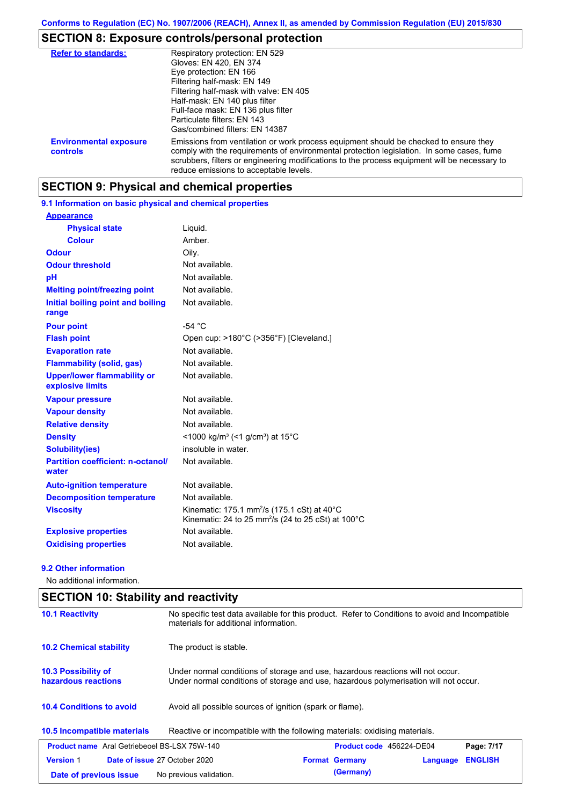# **SECTION 8: Exposure controls/personal protection**

| <b>Refer to standards:</b>                | Respiratory protection: EN 529<br>Gloves: EN 420, EN 374<br>Eye protection: EN 166<br>Filtering half-mask: EN 149<br>Filtering half-mask with valve: EN 405<br>Half-mask: EN 140 plus filter<br>Full-face mask: EN 136 plus filter<br>Particulate filters: EN 143                                                             |
|-------------------------------------------|-------------------------------------------------------------------------------------------------------------------------------------------------------------------------------------------------------------------------------------------------------------------------------------------------------------------------------|
|                                           | Gas/combined filters: EN 14387                                                                                                                                                                                                                                                                                                |
| <b>Environmental exposure</b><br>controls | Emissions from ventilation or work process equipment should be checked to ensure they<br>comply with the requirements of environmental protection legislation. In some cases, fume<br>scrubbers, filters or engineering modifications to the process equipment will be necessary to<br>reduce emissions to acceptable levels. |

# **SECTION 9: Physical and chemical properties**

**9.1 Information on basic physical and chemical properties**

| <b>Appearance</b>                                      |                                                                                                                                               |
|--------------------------------------------------------|-----------------------------------------------------------------------------------------------------------------------------------------------|
| <b>Physical state</b>                                  | Liquid.                                                                                                                                       |
| <b>Colour</b>                                          | Amber.                                                                                                                                        |
| <b>Odour</b>                                           | Oily.                                                                                                                                         |
| <b>Odour threshold</b>                                 | Not available.                                                                                                                                |
| рH                                                     | Not available.                                                                                                                                |
| <b>Melting point/freezing point</b>                    | Not available.                                                                                                                                |
| Initial boiling point and boiling<br>range             | Not available.                                                                                                                                |
| <b>Pour point</b>                                      | $-54 °C$                                                                                                                                      |
| <b>Flash point</b>                                     | Open cup: >180°C (>356°F) [Cleveland.]                                                                                                        |
| <b>Evaporation rate</b>                                | Not available.                                                                                                                                |
| <b>Flammability (solid, gas)</b>                       | Not available.                                                                                                                                |
| <b>Upper/lower flammability or</b><br>explosive limits | Not available.                                                                                                                                |
| <b>Vapour pressure</b>                                 | Not available.                                                                                                                                |
| <b>Vapour density</b>                                  | Not available.                                                                                                                                |
| <b>Relative density</b>                                | Not available.                                                                                                                                |
| <b>Density</b>                                         | <1000 kg/m <sup>3</sup> (<1 g/cm <sup>3</sup> ) at 15 <sup>°</sup> C                                                                          |
| <b>Solubility(ies)</b>                                 | insoluble in water.                                                                                                                           |
| <b>Partition coefficient: n-octanol/</b><br>water      | Not available.                                                                                                                                |
| <b>Auto-ignition temperature</b>                       | Not available.                                                                                                                                |
| <b>Decomposition temperature</b>                       | Not available.                                                                                                                                |
| <b>Viscosity</b>                                       | Kinematic: 175.1 mm <sup>2</sup> /s (175.1 cSt) at $40^{\circ}$ C<br>Kinematic: 24 to 25 mm <sup>2</sup> /s (24 to 25 cSt) at $100^{\circ}$ C |
| <b>Explosive properties</b>                            | Not available.                                                                                                                                |
| <b>Oxidising properties</b>                            | Not available.                                                                                                                                |

## **9.2 Other information**

No additional information.

| <b>SECTION 10: Stability and reactivity</b>                    |                                                                                                                                                                         |  |  |  |
|----------------------------------------------------------------|-------------------------------------------------------------------------------------------------------------------------------------------------------------------------|--|--|--|
| <b>10.1 Reactivity</b>                                         | No specific test data available for this product. Refer to Conditions to avoid and Incompatible<br>materials for additional information.                                |  |  |  |
| <b>10.2 Chemical stability</b>                                 | The product is stable.                                                                                                                                                  |  |  |  |
| <b>10.3 Possibility of</b><br>hazardous reactions              | Under normal conditions of storage and use, hazardous reactions will not occur.<br>Under normal conditions of storage and use, hazardous polymerisation will not occur. |  |  |  |
| <b>10.4 Conditions to avoid</b>                                | Avoid all possible sources of ignition (spark or flame).                                                                                                                |  |  |  |
| 10.5 Incompatible materials                                    | Reactive or incompatible with the following materials: oxidising materials.                                                                                             |  |  |  |
| <b>Product name</b> Aral Getriebeoel BS-LSX 75W-140            | Product code 456224-DE04<br>Page: 7/17                                                                                                                                  |  |  |  |
| <b>Version 1</b>                                               | Date of issue 27 October 2020<br><b>Format Germany</b><br><b>ENGLISH</b><br>Language                                                                                    |  |  |  |
| (Germany)<br>No previous validation.<br>Date of previous issue |                                                                                                                                                                         |  |  |  |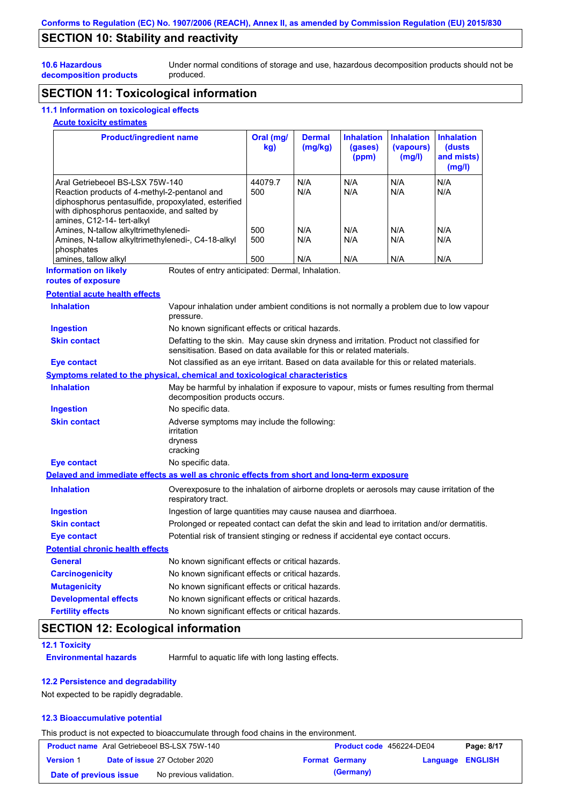# **SECTION 10: Stability and reactivity**

Under normal conditions of storage and use, hazardous decomposition products should not be produced.

# **decomposition products**

**10.6 Hazardous** 

# **SECTION 11: Toxicological information**

# **11.1 Information on toxicological effects**

## **Acute toxicity estimates**

| <b>Product/ingredient name</b>                                                                                                                                                                                      |                                                                                                                                                                   | Oral (mg/<br>kg) | <b>Dermal</b><br>(mg/kg) | <b>Inhalation</b><br>(gases)<br>(ppm) | Inhalation<br>(vapours)<br>(mg/l) | <b>Inhalation</b><br>(dusts<br>and mists)<br>(mg/l) |
|---------------------------------------------------------------------------------------------------------------------------------------------------------------------------------------------------------------------|-------------------------------------------------------------------------------------------------------------------------------------------------------------------|------------------|--------------------------|---------------------------------------|-----------------------------------|-----------------------------------------------------|
| Aral Getriebeoel BS-LSX 75W-140<br>Reaction products of 4-methyl-2-pentanol and<br>diphosphorus pentasulfide, propoxylated, esterified<br>with diphosphorus pentaoxide, and salted by<br>amines, C12-14- tert-alkyl |                                                                                                                                                                   | 44079.7<br>500   | N/A<br>N/A               | N/A<br>N/A                            | N/A<br>N/A                        | N/A<br>N/A                                          |
| Amines, N-tallow alkyltrimethylenedi-                                                                                                                                                                               |                                                                                                                                                                   | 500              | N/A                      | N/A                                   | N/A                               | N/A                                                 |
| Amines, N-tallow alkyltrimethylenedi-, C4-18-alkyl<br>phosphates<br>amines, tallow alkyl                                                                                                                            |                                                                                                                                                                   | 500<br>500       | N/A<br>N/A               | N/A<br>N/A                            | N/A<br>N/A                        | N/A<br>N/A                                          |
| <b>Information on likely</b>                                                                                                                                                                                        | Routes of entry anticipated: Dermal, Inhalation.                                                                                                                  |                  |                          |                                       |                                   |                                                     |
| routes of exposure                                                                                                                                                                                                  |                                                                                                                                                                   |                  |                          |                                       |                                   |                                                     |
| <b>Potential acute health effects</b>                                                                                                                                                                               |                                                                                                                                                                   |                  |                          |                                       |                                   |                                                     |
| <b>Inhalation</b>                                                                                                                                                                                                   | Vapour inhalation under ambient conditions is not normally a problem due to low vapour<br>pressure.                                                               |                  |                          |                                       |                                   |                                                     |
| <b>Ingestion</b>                                                                                                                                                                                                    | No known significant effects or critical hazards.                                                                                                                 |                  |                          |                                       |                                   |                                                     |
| <b>Skin contact</b>                                                                                                                                                                                                 | Defatting to the skin. May cause skin dryness and irritation. Product not classified for<br>sensitisation. Based on data available for this or related materials. |                  |                          |                                       |                                   |                                                     |
| <b>Eye contact</b>                                                                                                                                                                                                  | Not classified as an eye irritant. Based on data available for this or related materials.                                                                         |                  |                          |                                       |                                   |                                                     |
| Symptoms related to the physical, chemical and toxicological characteristics                                                                                                                                        |                                                                                                                                                                   |                  |                          |                                       |                                   |                                                     |
| <b>Inhalation</b>                                                                                                                                                                                                   | May be harmful by inhalation if exposure to vapour, mists or fumes resulting from thermal<br>decomposition products occurs.                                       |                  |                          |                                       |                                   |                                                     |
| <b>Ingestion</b>                                                                                                                                                                                                    | No specific data.                                                                                                                                                 |                  |                          |                                       |                                   |                                                     |
| <b>Skin contact</b>                                                                                                                                                                                                 | Adverse symptoms may include the following:<br>irritation<br>dryness<br>cracking                                                                                  |                  |                          |                                       |                                   |                                                     |
| <b>Eye contact</b>                                                                                                                                                                                                  | No specific data.                                                                                                                                                 |                  |                          |                                       |                                   |                                                     |
| Delayed and immediate effects as well as chronic effects from short and long-term exposure                                                                                                                          |                                                                                                                                                                   |                  |                          |                                       |                                   |                                                     |
| <b>Inhalation</b>                                                                                                                                                                                                   | Overexposure to the inhalation of airborne droplets or aerosols may cause irritation of the<br>respiratory tract.                                                 |                  |                          |                                       |                                   |                                                     |
| <b>Ingestion</b>                                                                                                                                                                                                    | Ingestion of large quantities may cause nausea and diarrhoea.                                                                                                     |                  |                          |                                       |                                   |                                                     |
| <b>Skin contact</b>                                                                                                                                                                                                 | Prolonged or repeated contact can defat the skin and lead to irritation and/or dermatitis.                                                                        |                  |                          |                                       |                                   |                                                     |
| Eye contact                                                                                                                                                                                                         | Potential risk of transient stinging or redness if accidental eye contact occurs.                                                                                 |                  |                          |                                       |                                   |                                                     |
| <b>Potential chronic health effects</b>                                                                                                                                                                             |                                                                                                                                                                   |                  |                          |                                       |                                   |                                                     |
| General                                                                                                                                                                                                             | No known significant effects or critical hazards.                                                                                                                 |                  |                          |                                       |                                   |                                                     |
| <b>Carcinogenicity</b>                                                                                                                                                                                              | No known significant effects or critical hazards.                                                                                                                 |                  |                          |                                       |                                   |                                                     |
|                                                                                                                                                                                                                     | No known significant effects or critical hazards.                                                                                                                 |                  |                          |                                       |                                   |                                                     |
| <b>Mutagenicity</b>                                                                                                                                                                                                 |                                                                                                                                                                   |                  |                          |                                       |                                   |                                                     |
| <b>Developmental effects</b>                                                                                                                                                                                        | No known significant effects or critical hazards.                                                                                                                 |                  |                          |                                       |                                   |                                                     |

# **SECTION 12: Ecological information**

## **12.1 Toxicity**

**Environmental hazards** Harmful to aquatic life with long lasting effects.

### **12.2 Persistence and degradability**

Not expected to be rapidly degradable.

## **12.3 Bioaccumulative potential**

This product is not expected to bioaccumulate through food chains in the environment.

| <b>Product name</b> Aral Getriebeoel BS-LSX 75W-140 |  |                                      | <b>Product code</b> 456224-DE04 |                       | Page: 8/17              |  |
|-----------------------------------------------------|--|--------------------------------------|---------------------------------|-----------------------|-------------------------|--|
| <b>Version 1</b>                                    |  | <b>Date of issue 27 October 2020</b> |                                 | <b>Format Germany</b> | <b>Language ENGLISH</b> |  |
| Date of previous issue                              |  | No previous validation.              |                                 | (Germany)             |                         |  |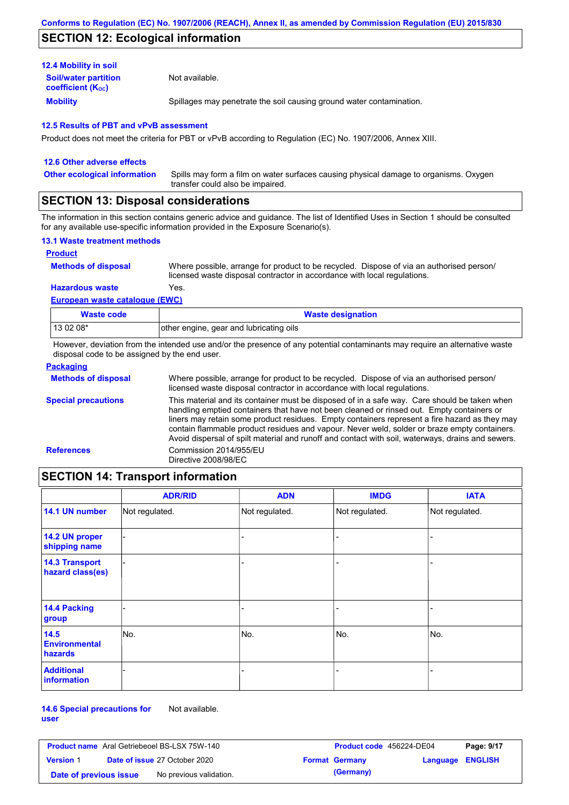# **SECTION 12: Ecological information**

## **12.4 Mobility in soil**

**Mobility** Spillages may penetrate the soil causing ground water contamination. **Soil/water partition coefficient (Koc)** Not available.

### **12.5 Results of PBT and vPvB assessment**

Product does not meet the criteria for PBT or vPvB according to Regulation (EC) No. 1907/2006, Annex XIII.

#### **12.6 Other adverse effects** Spills may form a film on water surfaces causing physical damage to organisms. Oxygen transfer could also be impaired. **Other ecological information**

## **SECTION 13: Disposal considerations**

The information in this section contains generic advice and guidance. The list of Identified Uses in Section 1 should be consulted for any available use-specific information provided in the Exposure Scenario(s).

### **13.1 Waste treatment methods**

### **Product**

**Methods of disposal**

Where possible, arrange for product to be recycled. Dispose of via an authorised person/ licensed waste disposal contractor in accordance with local regulations.

**Hazardous waste** Yes.

**European waste catalogue (EWC)**

| Waste code                                                                                                                  | <b>Waste designation</b>                |  |  |
|-----------------------------------------------------------------------------------------------------------------------------|-----------------------------------------|--|--|
| $130208*$                                                                                                                   | other engine, gear and lubricating oils |  |  |
| However, deviation from the intended use and/or the presence of any potential contaminants may require an alternative waste |                                         |  |  |

However, deviation from the intended use and/or the presence of any potential contaminants may require an alternative waste disposal code to be assigned by the end user.

| <b>Packaging</b>           |                                                                                                                                                                                                                                                                                                                                                                                                                                                                                                 |
|----------------------------|-------------------------------------------------------------------------------------------------------------------------------------------------------------------------------------------------------------------------------------------------------------------------------------------------------------------------------------------------------------------------------------------------------------------------------------------------------------------------------------------------|
| <b>Methods of disposal</b> | Where possible, arrange for product to be recycled. Dispose of via an authorised person/<br>licensed waste disposal contractor in accordance with local regulations.                                                                                                                                                                                                                                                                                                                            |
| <b>Special precautions</b> | This material and its container must be disposed of in a safe way. Care should be taken when<br>handling emptied containers that have not been cleaned or rinsed out. Empty containers or<br>liners may retain some product residues. Empty containers represent a fire hazard as they may<br>contain flammable product residues and vapour. Never weld, solder or braze empty containers.<br>Avoid dispersal of spilt material and runoff and contact with soil, waterways, drains and sewers. |
| <b>References</b>          | Commission 2014/955/EU<br>Directive 2008/98/EC                                                                                                                                                                                                                                                                                                                                                                                                                                                  |
|                            |                                                                                                                                                                                                                                                                                                                                                                                                                                                                                                 |

# **SECTION 14: Transport information**

|                                           | <b>ADR/RID</b> | <b>ADN</b>     | <b>IMDG</b>    | <b>IATA</b>    |
|-------------------------------------------|----------------|----------------|----------------|----------------|
| 14.1 UN number                            | Not regulated. | Not regulated. | Not regulated. | Not regulated. |
| 14.2 UN proper<br>shipping name           |                |                |                |                |
| <b>14.3 Transport</b><br>hazard class(es) |                |                | ۰              |                |
| 14.4 Packing<br>group                     |                |                |                |                |
| 14.5<br><b>Environmental</b><br>hazards   | No.            | No.            | No.            | No.            |
| <b>Additional</b><br><b>information</b>   |                |                |                |                |

**14.6 Special precautions for user** Not available.

| <b>Product name</b> Aral Getriebeoel BS-LSX 75W-140 |  | Product code 456224-DE04             |  | Page: 9/17            |                  |  |
|-----------------------------------------------------|--|--------------------------------------|--|-----------------------|------------------|--|
| <b>Version 1</b>                                    |  | <b>Date of issue 27 October 2020</b> |  | <b>Format Germany</b> | Language ENGLISH |  |
| Date of previous issue                              |  | No previous validation.              |  | (Germany)             |                  |  |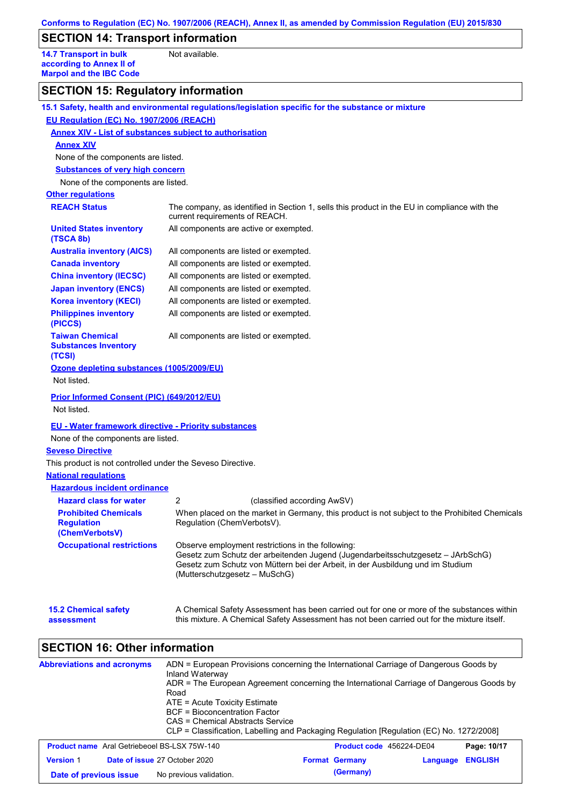# **SECTION 14: Transport information**

**14.7 Transport in bulk according to Annex II of Marpol and the IBC Code** Not available.

# **SECTION 15: Regulatory information**

|                                                                    | 15.1 Safety, health and environmental regulations/legislation specific for the substance or mixture                                                                                                                                                     |
|--------------------------------------------------------------------|---------------------------------------------------------------------------------------------------------------------------------------------------------------------------------------------------------------------------------------------------------|
| EU Regulation (EC) No. 1907/2006 (REACH)                           |                                                                                                                                                                                                                                                         |
| <b>Annex XIV - List of substances subject to authorisation</b>     |                                                                                                                                                                                                                                                         |
| <b>Annex XIV</b>                                                   |                                                                                                                                                                                                                                                         |
| None of the components are listed.                                 |                                                                                                                                                                                                                                                         |
| <b>Substances of very high concern</b>                             |                                                                                                                                                                                                                                                         |
| None of the components are listed.                                 |                                                                                                                                                                                                                                                         |
| <b>Other regulations</b>                                           |                                                                                                                                                                                                                                                         |
| <b>REACH Status</b>                                                | The company, as identified in Section 1, sells this product in the EU in compliance with the<br>current requirements of REACH.                                                                                                                          |
| <b>United States inventory</b><br>(TSCA 8b)                        | All components are active or exempted.                                                                                                                                                                                                                  |
| <b>Australia inventory (AICS)</b>                                  | All components are listed or exempted.                                                                                                                                                                                                                  |
| <b>Canada inventory</b>                                            | All components are listed or exempted.                                                                                                                                                                                                                  |
| <b>China inventory (IECSC)</b>                                     | All components are listed or exempted.                                                                                                                                                                                                                  |
| <b>Japan inventory (ENCS)</b>                                      | All components are listed or exempted.                                                                                                                                                                                                                  |
| <b>Korea inventory (KECI)</b>                                      | All components are listed or exempted.                                                                                                                                                                                                                  |
| <b>Philippines inventory</b><br>(PICCS)                            | All components are listed or exempted.                                                                                                                                                                                                                  |
| <b>Taiwan Chemical</b><br><b>Substances Inventory</b><br>(TCSI)    | All components are listed or exempted.                                                                                                                                                                                                                  |
| Ozone depleting substances (1005/2009/EU)<br>Not listed.           |                                                                                                                                                                                                                                                         |
| Prior Informed Consent (PIC) (649/2012/EU)<br>Not listed.          |                                                                                                                                                                                                                                                         |
| <b>EU - Water framework directive - Priority substances</b>        |                                                                                                                                                                                                                                                         |
| None of the components are listed.                                 |                                                                                                                                                                                                                                                         |
| <b>Seveso Directive</b>                                            |                                                                                                                                                                                                                                                         |
| This product is not controlled under the Seveso Directive.         |                                                                                                                                                                                                                                                         |
| <b>National regulations</b>                                        |                                                                                                                                                                                                                                                         |
| <b>Hazardous incident ordinance</b>                                |                                                                                                                                                                                                                                                         |
| <b>Hazard class for water</b>                                      | 2<br>(classified according AwSV)                                                                                                                                                                                                                        |
| <b>Prohibited Chemicals</b><br><b>Regulation</b><br>(ChemVerbotsV) | When placed on the market in Germany, this product is not subject to the Prohibited Chemicals<br>Regulation (ChemVerbotsV).                                                                                                                             |
| <b>Occupational restrictions</b>                                   | Observe employment restrictions in the following:<br>Gesetz zum Schutz der arbeitenden Jugend (Jugendarbeitsschutzgesetz - JArbSchG)<br>Gesetz zum Schutz von Müttern bei der Arbeit, in der Ausbildung und im Studium<br>(Mutterschutzgesetz – MuSchG) |
| <b>15.2 Chemical safety</b><br>assessment                          | A Chemical Safety Assessment has been carried out for one or more of the substances within<br>this mixture. A Chemical Safety Assessment has not been carried out for the mixture itself.                                                               |
| <b>SECTION 16: Other information</b>                               |                                                                                                                                                                                                                                                         |
| <b>Abbreviations and acronyms</b>                                  | ADN = European Provisions concerning the International Carriage of Dangerous Goods by<br>Inland Waterway<br>ADR = The European Agreement concerning the International Carriage of Dangerous Goods by<br>Road                                            |

CAS = Chemical Abstracts Service CLP = Classification, Labelling and Packaging Regulation [Regulation (EC) No. 1272/2008]

|                        | <b>Product name</b> Aral Getriebeoel BS-LSX 75W-140 | <b>Product code</b> 456224-DE04 |          | Page: 10/17    |
|------------------------|-----------------------------------------------------|---------------------------------|----------|----------------|
| <b>Version 1</b>       | <b>Date of issue 27 October 2020</b>                | <b>Format Germany</b>           | Language | <b>ENGLISH</b> |
| Date of previous issue | No previous validation.                             | (Germany)                       |          |                |

ATE = Acute Toxicity Estimate BCF = Bioconcentration Factor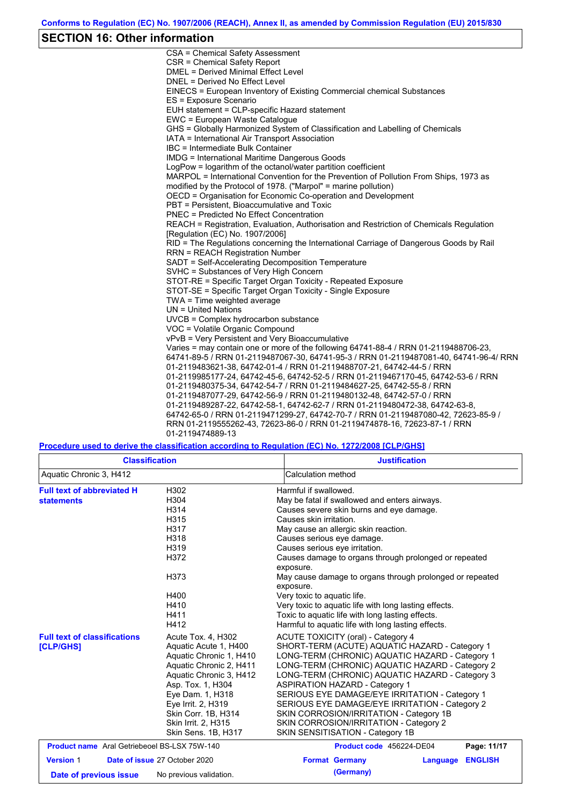## **SECTION 16: Other information**

CSA = Chemical Safety Assessment CSR = Chemical Safety Report DMEL = Derived Minimal Effect Level DNEL = Derived No Effect Level EINECS = European Inventory of Existing Commercial chemical Substances ES = Exposure Scenario EUH statement = CLP-specific Hazard statement EWC = European Waste Catalogue GHS = Globally Harmonized System of Classification and Labelling of Chemicals IATA = International Air Transport Association IBC = Intermediate Bulk Container IMDG = International Maritime Dangerous Goods LogPow = logarithm of the octanol/water partition coefficient MARPOL = International Convention for the Prevention of Pollution From Ships, 1973 as modified by the Protocol of 1978. ("Marpol" = marine pollution) OECD = Organisation for Economic Co-operation and Development PBT = Persistent, Bioaccumulative and Toxic PNEC = Predicted No Effect Concentration REACH = Registration, Evaluation, Authorisation and Restriction of Chemicals Regulation [Regulation (EC) No. 1907/2006] RID = The Regulations concerning the International Carriage of Dangerous Goods by Rail RRN = REACH Registration Number SADT = Self-Accelerating Decomposition Temperature SVHC = Substances of Very High Concern STOT-RE = Specific Target Organ Toxicity - Repeated Exposure STOT-SE = Specific Target Organ Toxicity - Single Exposure TWA = Time weighted average UN = United Nations UVCB = Complex hydrocarbon substance VOC = Volatile Organic Compound vPvB = Very Persistent and Very Bioaccumulative Varies = may contain one or more of the following 64741-88-4 / RRN 01-2119488706-23, 64741-89-5 / RRN 01-2119487067-30, 64741-95-3 / RRN 01-2119487081-40, 64741-96-4/ RRN 01-2119483621-38, 64742-01-4 / RRN 01-2119488707-21, 64742-44-5 / RRN 01-2119985177-24, 64742-45-6, 64742-52-5 / RRN 01-2119467170-45, 64742-53-6 / RRN 01-2119480375-34, 64742-54-7 / RRN 01-2119484627-25, 64742-55-8 / RRN 01-2119487077-29, 64742-56-9 / RRN 01-2119480132-48, 64742-57-0 / RRN 01-2119489287-22, 64742-58-1, 64742-62-7 / RRN 01-2119480472-38, 64742-63-8, 64742-65-0 / RRN 01-2119471299-27, 64742-70-7 / RRN 01-2119487080-42, 72623-85-9 / RRN 01-2119555262-43, 72623-86-0 / RRN 01-2119474878-16, 72623-87-1 / RRN 01-2119474889-13

#### **Procedure used to derive the classification according to Regulation (EC) No. 1272/2008 [CLP/GHS]**

|                                                                                                                                                                                                                                                                                                                              | <b>Classification</b>         | <b>Justification</b>                                                                                                                                                                                                                                                                                                                                                                                                                                                                                                                                                                                   |
|------------------------------------------------------------------------------------------------------------------------------------------------------------------------------------------------------------------------------------------------------------------------------------------------------------------------------|-------------------------------|--------------------------------------------------------------------------------------------------------------------------------------------------------------------------------------------------------------------------------------------------------------------------------------------------------------------------------------------------------------------------------------------------------------------------------------------------------------------------------------------------------------------------------------------------------------------------------------------------------|
| Aquatic Chronic 3, H412                                                                                                                                                                                                                                                                                                      |                               | Calculation method                                                                                                                                                                                                                                                                                                                                                                                                                                                                                                                                                                                     |
| <b>Full text of abbreviated H</b><br>H302<br>H304<br><b>statements</b><br>H314<br>H315<br>H317<br>H318<br>H319<br>H372<br>H373<br>H400<br>H410<br>H411                                                                                                                                                                       |                               | Harmful if swallowed.<br>May be fatal if swallowed and enters airways.<br>Causes severe skin burns and eye damage.<br>Causes skin irritation.<br>May cause an allergic skin reaction.<br>Causes serious eye damage.<br>Causes serious eye irritation.<br>Causes damage to organs through prolonged or repeated<br>exposure.<br>May cause damage to organs through prolonged or repeated<br>exposure.<br>Very toxic to aquatic life.<br>Very toxic to aquatic life with long lasting effects.<br>Toxic to aquatic life with long lasting effects.<br>Harmful to aquatic life with long lasting effects. |
| H412<br><b>Full text of classifications</b><br>Acute Tox. 4, H302<br>Aquatic Acute 1, H400<br>[CLP/GHS]<br>Aquatic Chronic 1, H410<br>Aquatic Chronic 2, H411<br>Aquatic Chronic 3, H412<br>Asp. Tox. 1, H304<br>Eye Dam. 1, H318<br>Eye Irrit. 2, H319<br>Skin Corr. 1B, H314<br>Skin Irrit. 2, H315<br>Skin Sens. 1B, H317 |                               | <b>ACUTE TOXICITY (oral) - Category 4</b><br>SHORT-TERM (ACUTE) AQUATIC HAZARD - Category 1<br>LONG-TERM (CHRONIC) AQUATIC HAZARD - Category 1<br>LONG-TERM (CHRONIC) AQUATIC HAZARD - Category 2<br>LONG-TERM (CHRONIC) AQUATIC HAZARD - Category 3<br><b>ASPIRATION HAZARD - Category 1</b><br>SERIOUS EYE DAMAGE/EYE IRRITATION - Category 1<br>SERIOUS EYE DAMAGE/EYE IRRITATION - Category 2<br>SKIN CORROSION/IRRITATION - Category 1B<br>SKIN CORROSION/IRRITATION - Category 2<br>SKIN SENSITISATION - Category 1B                                                                             |
| <b>Product name</b> Aral Getriebeoel BS-LSX 75W-140                                                                                                                                                                                                                                                                          |                               | Product code 456224-DE04<br>Page: 11/17                                                                                                                                                                                                                                                                                                                                                                                                                                                                                                                                                                |
| <b>Version 1</b>                                                                                                                                                                                                                                                                                                             | Date of issue 27 October 2020 | <b>ENGLISH</b><br><b>Format Germany</b><br>Language                                                                                                                                                                                                                                                                                                                                                                                                                                                                                                                                                    |
| Date of previous issue                                                                                                                                                                                                                                                                                                       | No previous validation.       | (Germany)                                                                                                                                                                                                                                                                                                                                                                                                                                                                                                                                                                                              |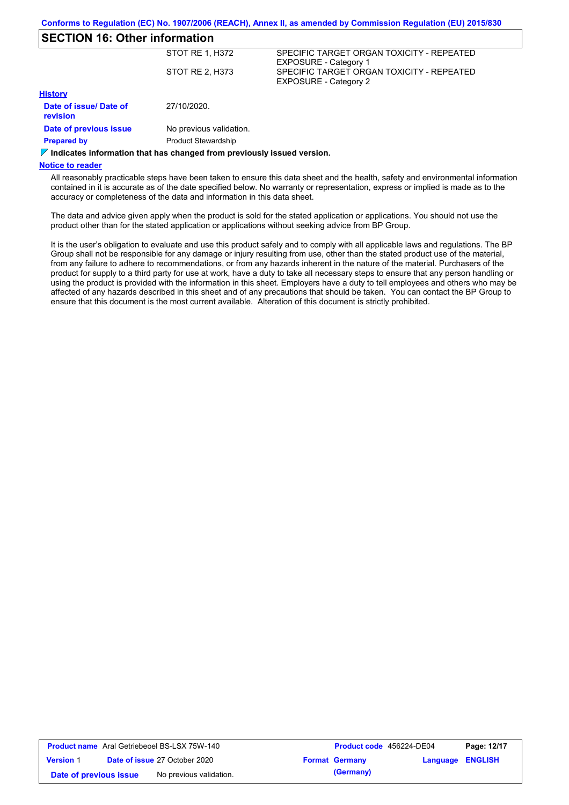# **SECTION 16: Other information**

|                                    | STOT RE 1, H372            | SPECIFIC TARGET ORGAN TOXICITY - REPEATED<br><b>EXPOSURE - Category 1</b> |
|------------------------------------|----------------------------|---------------------------------------------------------------------------|
|                                    | STOT RE 2, H373            | SPECIFIC TARGET ORGAN TOXICITY - REPEATED<br><b>EXPOSURE - Category 2</b> |
| <b>History</b>                     |                            |                                                                           |
| Date of issue/ Date of<br>revision | 27/10/2020.                |                                                                           |
| Date of previous issue             | No previous validation.    |                                                                           |
| <b>Prepared by</b>                 | <b>Product Stewardship</b> |                                                                           |

**Indicates information that has changed from previously issued version.**

### **Notice to reader**

All reasonably practicable steps have been taken to ensure this data sheet and the health, safety and environmental information contained in it is accurate as of the date specified below. No warranty or representation, express or implied is made as to the accuracy or completeness of the data and information in this data sheet.

The data and advice given apply when the product is sold for the stated application or applications. You should not use the product other than for the stated application or applications without seeking advice from BP Group.

It is the user's obligation to evaluate and use this product safely and to comply with all applicable laws and regulations. The BP Group shall not be responsible for any damage or injury resulting from use, other than the stated product use of the material, from any failure to adhere to recommendations, or from any hazards inherent in the nature of the material. Purchasers of the product for supply to a third party for use at work, have a duty to take all necessary steps to ensure that any person handling or using the product is provided with the information in this sheet. Employers have a duty to tell employees and others who may be affected of any hazards described in this sheet and of any precautions that should be taken. You can contact the BP Group to ensure that this document is the most current available. Alteration of this document is strictly prohibited.

|                        | <b>Product name</b> Aral Getriebeoel BS-LSX 75W-140 | <b>Product code</b> 456224-DE04 |                  | Page: 12/17 |
|------------------------|-----------------------------------------------------|---------------------------------|------------------|-------------|
| <b>Version 1</b>       | <b>Date of issue 27 October 2020</b>                | <b>Format Germany</b>           | Language ENGLISH |             |
| Date of previous issue | No previous validation.                             | (Germany)                       |                  |             |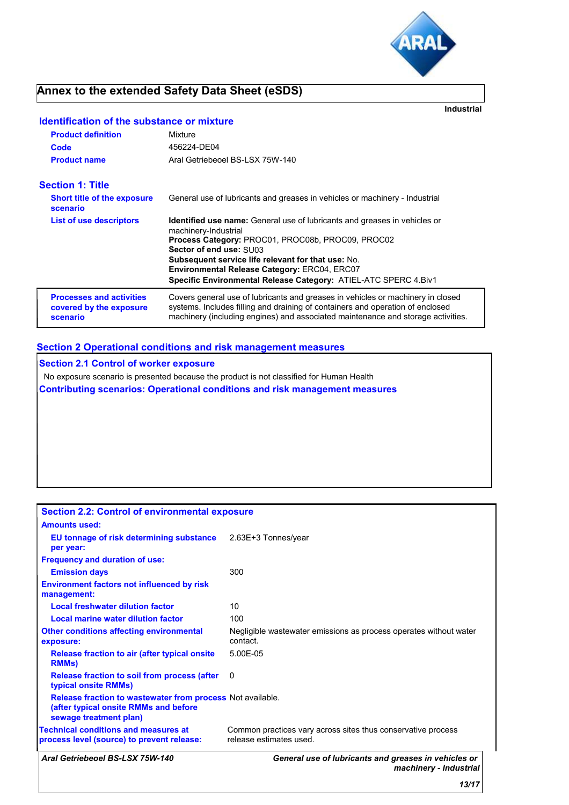

**Industrial**

# **Annex to the extended Safety Data Sheet (eSDS)**

## **Identification of the substance or mixture**

| <b>Product definition</b>                                              | Mixture                                                                                                                                                                                                                                                                                                                                                                         |
|------------------------------------------------------------------------|---------------------------------------------------------------------------------------------------------------------------------------------------------------------------------------------------------------------------------------------------------------------------------------------------------------------------------------------------------------------------------|
| Code                                                                   | 456224-DE04                                                                                                                                                                                                                                                                                                                                                                     |
| Aral Getriebeoel BS-LSX 75W-140<br><b>Product name</b>                 |                                                                                                                                                                                                                                                                                                                                                                                 |
| Section 1: Title                                                       |                                                                                                                                                                                                                                                                                                                                                                                 |
| <b>Short title of the exposure</b><br>scenario                         | General use of lubricants and greases in vehicles or machinery - Industrial                                                                                                                                                                                                                                                                                                     |
| <b>List of use descriptors</b>                                         | <b>Identified use name:</b> General use of lubricants and greases in vehicles or<br>machinery-Industrial<br>Process Category: PROC01, PROC08b, PROC09, PROC02<br>Sector of end use: SU03<br><b>Subsequent service life relevant for that use: No.</b><br><b>Environmental Release Category: ERC04, ERC07</b><br>Specific Environmental Release Category: ATIEL-ATC SPERC 4.Biv1 |
| <b>Processes and activities</b><br>covered by the exposure<br>scenario | Covers general use of lubricants and greases in vehicles or machinery in closed<br>systems. Includes filling and draining of containers and operation of enclosed<br>machinery (including engines) and associated maintenance and storage activities.                                                                                                                           |

# **Section 2 Operational conditions and risk management measures**

**Section 2.1 Control of worker exposure** No exposure scenario is presented because the product is not classified for Human Health **Contributing scenarios: Operational conditions and risk management measures**

| <b>Section 2.2: Control of environmental exposure</b>                                                                         |                                                                                         |
|-------------------------------------------------------------------------------------------------------------------------------|-----------------------------------------------------------------------------------------|
| <b>Amounts used:</b>                                                                                                          |                                                                                         |
| EU tonnage of risk determining substance<br>per year:                                                                         | 2.63E+3 Tonnes/year                                                                     |
| <b>Frequency and duration of use:</b>                                                                                         |                                                                                         |
| <b>Emission days</b>                                                                                                          | 300                                                                                     |
| <b>Environment factors not influenced by risk</b><br>management:                                                              |                                                                                         |
| <b>Local freshwater dilution factor</b>                                                                                       | 10                                                                                      |
| Local marine water dilution factor                                                                                            | 100                                                                                     |
| <b>Other conditions affecting environmental</b><br>exposure:                                                                  | Negligible wastewater emissions as process operates without water<br>contact.           |
| Release fraction to air (after typical onsite)<br><b>RMMs</b>                                                                 | 5.00E-05                                                                                |
| Release fraction to soil from process (after<br>typical onsite RMMs)                                                          | 0                                                                                       |
| Release fraction to wastewater from process Not available.<br>(after typical onsite RMMs and before<br>sewage treatment plan) |                                                                                         |
| <b>Technical conditions and measures at</b><br>process level (source) to prevent release:                                     | Common practices vary across sites thus conservative process<br>release estimates used. |
| Aral Getriebeoel BS-LSX 75W-140                                                                                               | General use of lubricants and greases in vehicles or<br>machinery - Industrial          |
|                                                                                                                               | 13/17                                                                                   |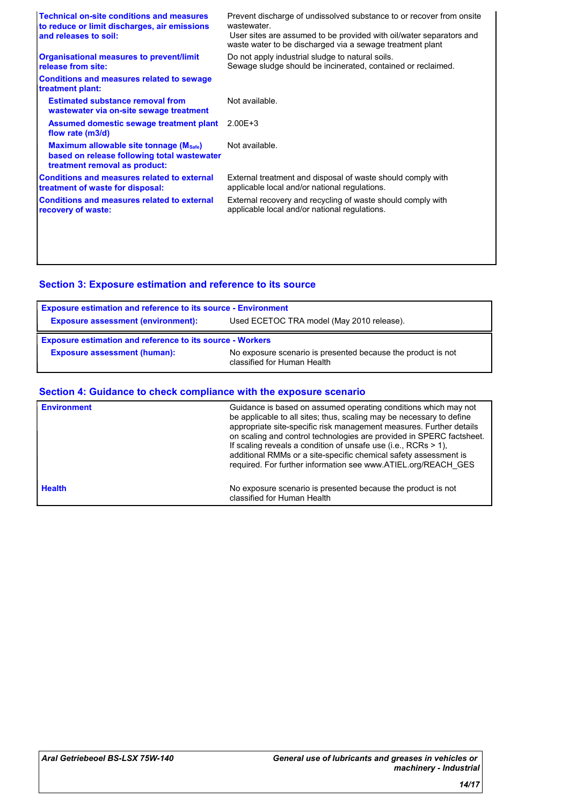| <b>Technical on-site conditions and measures</b><br>to reduce or limit discharges, air emissions<br>and releases to soil: | Prevent discharge of undissolved substance to or recover from onsite<br>wastewater<br>User sites are assumed to be provided with oil/water separators and<br>waste water to be discharged via a sewage treatment plant |
|---------------------------------------------------------------------------------------------------------------------------|------------------------------------------------------------------------------------------------------------------------------------------------------------------------------------------------------------------------|
| <b>Organisational measures to prevent/limit</b><br>release from site:                                                     | Do not apply industrial sludge to natural soils.<br>Sewage sludge should be incinerated, contained or reclaimed.                                                                                                       |
| <b>Conditions and measures related to sewage</b><br>treatment plant:                                                      |                                                                                                                                                                                                                        |
| <b>Estimated substance removal from</b><br>wastewater via on-site sewage treatment                                        | Not available.                                                                                                                                                                                                         |
| Assumed domestic sewage treatment plant<br>flow rate (m3/d)                                                               | $2.00E + 3$                                                                                                                                                                                                            |
| Maximum allowable site tonnage (Msafe)<br>based on release following total wastewater<br>treatment removal as product:    | Not available.                                                                                                                                                                                                         |
| <b>Conditions and measures related to external</b><br>treatment of waste for disposal:                                    | External treatment and disposal of waste should comply with<br>applicable local and/or national regulations.                                                                                                           |
| <b>Conditions and measures related to external</b><br>recovery of waste:                                                  | External recovery and recycling of waste should comply with<br>applicable local and/or national regulations.                                                                                                           |
|                                                                                                                           |                                                                                                                                                                                                                        |
|                                                                                                                           |                                                                                                                                                                                                                        |

# **Section 3: Exposure estimation and reference to its source**

| <b>Exposure estimation and reference to its source - Environment</b>                   |                                                                                             |  |  |
|----------------------------------------------------------------------------------------|---------------------------------------------------------------------------------------------|--|--|
| Used ECETOC TRA model (May 2010 release).<br><b>Exposure assessment (environment):</b> |                                                                                             |  |  |
| <b>Exposure estimation and reference to its source - Workers</b>                       |                                                                                             |  |  |
| <b>Exposure assessment (human):</b>                                                    | No exposure scenario is presented because the product is not<br>classified for Human Health |  |  |

## **Section 4: Guidance to check compliance with the exposure scenario**

| <b>Environment</b> | Guidance is based on assumed operating conditions which may not<br>be applicable to all sites; thus, scaling may be necessary to define<br>appropriate site-specific risk management measures. Further details<br>on scaling and control technologies are provided in SPERC factsheet.<br>If scaling reveals a condition of unsafe use (i.e., RCRs $> 1$ ),<br>additional RMMs or a site-specific chemical safety assessment is<br>required. For further information see www.ATIEL.org/REACH_GES |
|--------------------|--------------------------------------------------------------------------------------------------------------------------------------------------------------------------------------------------------------------------------------------------------------------------------------------------------------------------------------------------------------------------------------------------------------------------------------------------------------------------------------------------|
| <b>Health</b>      | No exposure scenario is presented because the product is not<br>classified for Human Health                                                                                                                                                                                                                                                                                                                                                                                                      |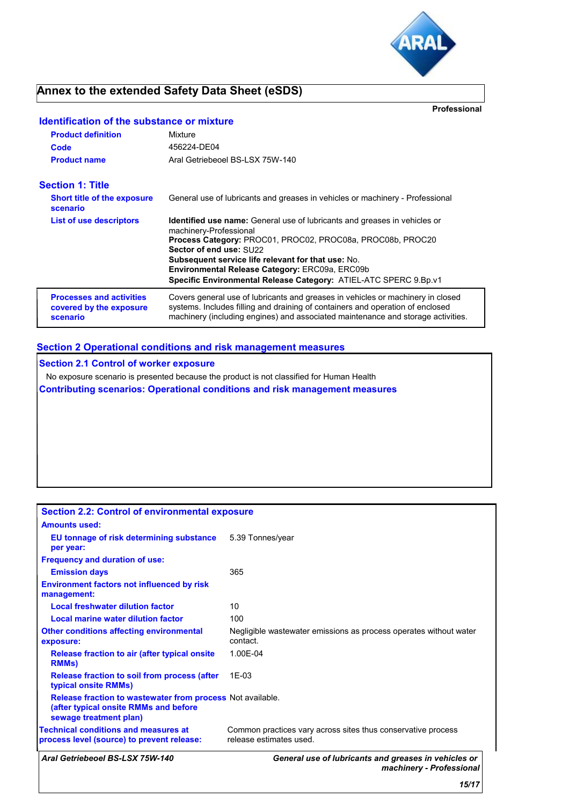

# **Annex to the extended Safety Data Sheet (eSDS)**

**Professional**

## **Identification of the substance or mixture**

| <b>Product definition</b><br>Code<br><b>Product name</b>               | Mixture<br>456224-DE04<br>Aral Getriebeoel BS-LSX 75W-140                                                                                                                                                                                                                                                                                                                                     |
|------------------------------------------------------------------------|-----------------------------------------------------------------------------------------------------------------------------------------------------------------------------------------------------------------------------------------------------------------------------------------------------------------------------------------------------------------------------------------------|
| <b>Section 1: Title</b>                                                |                                                                                                                                                                                                                                                                                                                                                                                               |
| <b>Short title of the exposure</b><br>scenario                         | General use of lubricants and greases in vehicles or machinery - Professional                                                                                                                                                                                                                                                                                                                 |
| <b>List of use descriptors</b>                                         | <b>Identified use name:</b> General use of lubricants and greases in vehicles or<br>machinery-Professional<br>Process Category: PROC01, PROC02, PROC08a, PROC08b, PROC20<br>Sector of end use: SU22<br><b>Subsequent service life relevant for that use: No.</b><br><b>Environmental Release Category: ERC09a, ERC09b</b><br>Specific Environmental Release Category: ATIEL-ATC SPERC 9.Bp.v1 |
| <b>Processes and activities</b><br>covered by the exposure<br>scenario | Covers general use of lubricants and greases in vehicles or machinery in closed<br>systems. Includes filling and draining of containers and operation of enclosed<br>machinery (including engines) and associated maintenance and storage activities.                                                                                                                                         |

## **Section 2 Operational conditions and risk management measures**

**Section 2.1 Control of worker exposure**

No exposure scenario is presented because the product is not classified for Human Health

**Contributing scenarios: Operational conditions and risk management measures**

| <b>Section 2.2: Control of environmental exposure</b>                                                                         |                                                                                         |
|-------------------------------------------------------------------------------------------------------------------------------|-----------------------------------------------------------------------------------------|
| <b>Amounts used:</b>                                                                                                          |                                                                                         |
| EU tonnage of risk determining substance<br>per year:                                                                         | 5.39 Tonnes/year                                                                        |
| <b>Frequency and duration of use:</b>                                                                                         |                                                                                         |
| <b>Emission days</b>                                                                                                          | 365                                                                                     |
| <b>Environment factors not influenced by risk</b><br>management:                                                              |                                                                                         |
| <b>Local freshwater dilution factor</b>                                                                                       | 10                                                                                      |
| Local marine water dilution factor                                                                                            | 100                                                                                     |
| <b>Other conditions affecting environmental</b><br>exposure:                                                                  | Negligible wastewater emissions as process operates without water<br>contact.           |
| Release fraction to air (after typical onsite)<br><b>RMMs</b>                                                                 | 1.00E-04                                                                                |
| Release fraction to soil from process (after<br>typical onsite RMMs)                                                          | $1F-0.3$                                                                                |
| Release fraction to wastewater from process Not available.<br>(after typical onsite RMMs and before<br>sewage treatment plan) |                                                                                         |
| <b>Technical conditions and measures at</b><br>process level (source) to prevent release:                                     | Common practices vary across sites thus conservative process<br>release estimates used. |
| Aral Getriebeoel BS-LSX 75W-140                                                                                               | General use of lubricants and greases in vehicles or<br>machinery - Professional        |
|                                                                                                                               | 15/17                                                                                   |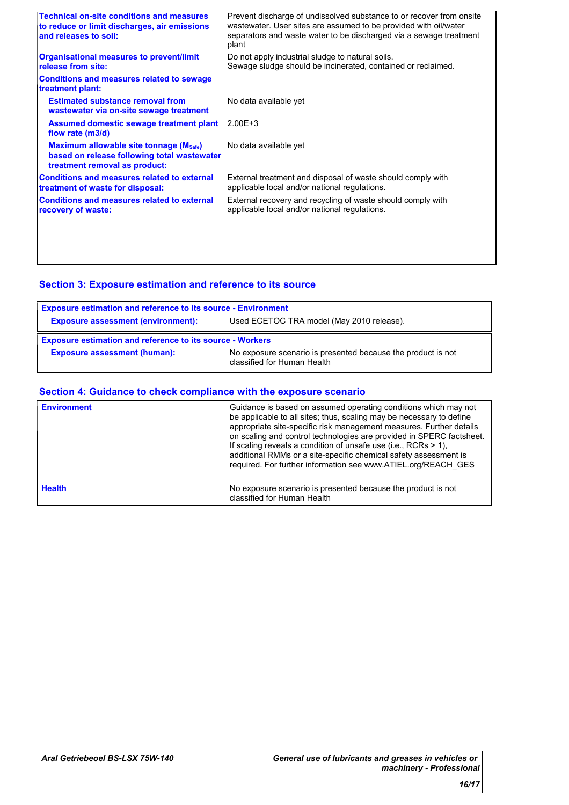| <b>Technical on-site conditions and measures</b><br>to reduce or limit discharges, air emissions<br>and releases to soil: | Prevent discharge of undissolved substance to or recover from onsite<br>wastewater. User sites are assumed to be provided with oil/water<br>separators and waste water to be discharged via a sewage treatment<br>plant |
|---------------------------------------------------------------------------------------------------------------------------|-------------------------------------------------------------------------------------------------------------------------------------------------------------------------------------------------------------------------|
| <b>Organisational measures to prevent/limit</b><br>release from site:                                                     | Do not apply industrial sludge to natural soils.<br>Sewage sludge should be incinerated, contained or reclaimed.                                                                                                        |
| <b>Conditions and measures related to sewage</b><br>treatment plant:                                                      |                                                                                                                                                                                                                         |
| <b>Estimated substance removal from</b><br>wastewater via on-site sewage treatment                                        | No data available yet                                                                                                                                                                                                   |
| Assumed domestic sewage treatment plant<br>flow rate (m3/d)                                                               | $2.00E + 3$                                                                                                                                                                                                             |
| Maximum allowable site tonnage (Msafe)<br>based on release following total wastewater<br>treatment removal as product:    | No data available yet                                                                                                                                                                                                   |
| <b>Conditions and measures related to external</b><br>treatment of waste for disposal:                                    | External treatment and disposal of waste should comply with<br>applicable local and/or national regulations.                                                                                                            |
| <b>Conditions and measures related to external</b><br>recovery of waste:                                                  | External recovery and recycling of waste should comply with<br>applicable local and/or national regulations.                                                                                                            |
|                                                                                                                           |                                                                                                                                                                                                                         |
|                                                                                                                           |                                                                                                                                                                                                                         |

# **Section 3: Exposure estimation and reference to its source**

| <b>Exposure estimation and reference to its source - Environment</b> |                                                                                             |  |  |
|----------------------------------------------------------------------|---------------------------------------------------------------------------------------------|--|--|
| <b>Exposure assessment (environment):</b>                            | Used ECETOC TRA model (May 2010 release).                                                   |  |  |
| <b>Exposure estimation and reference to its source - Workers</b>     |                                                                                             |  |  |
| <b>Exposure assessment (human):</b>                                  | No exposure scenario is presented because the product is not<br>classified for Human Health |  |  |

## **Section 4: Guidance to check compliance with the exposure scenario**

| <b>Environment</b> | Guidance is based on assumed operating conditions which may not<br>be applicable to all sites; thus, scaling may be necessary to define<br>appropriate site-specific risk management measures. Further details<br>on scaling and control technologies are provided in SPERC factsheet.<br>If scaling reveals a condition of unsafe use (i.e., RCRs $> 1$ ),<br>additional RMMs or a site-specific chemical safety assessment is<br>required. For further information see www.ATIEL.org/REACH GES |  |
|--------------------|--------------------------------------------------------------------------------------------------------------------------------------------------------------------------------------------------------------------------------------------------------------------------------------------------------------------------------------------------------------------------------------------------------------------------------------------------------------------------------------------------|--|
| <b>Health</b>      | No exposure scenario is presented because the product is not<br>classified for Human Health                                                                                                                                                                                                                                                                                                                                                                                                      |  |